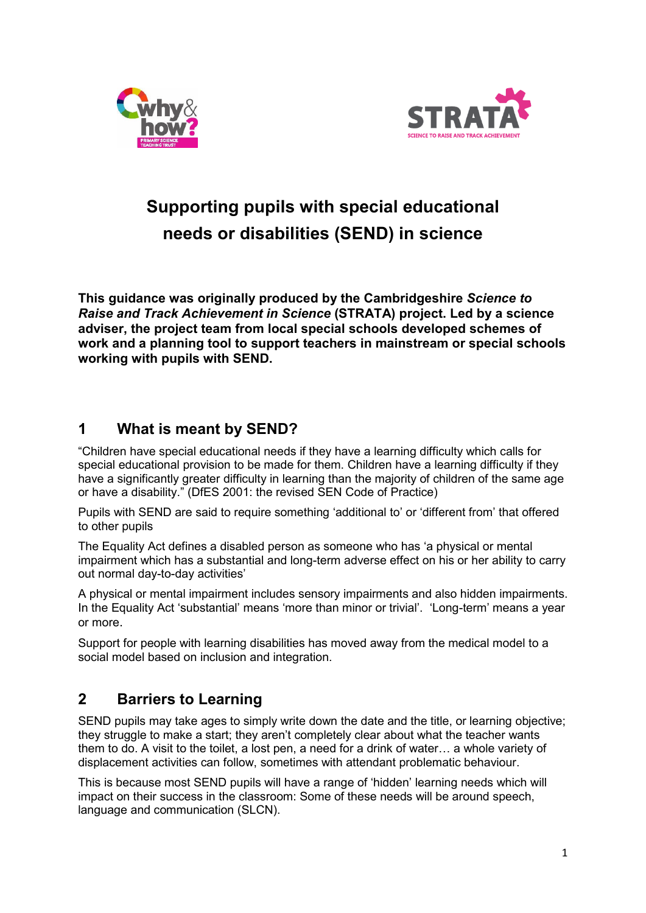



# **Supporting pupils with special educational needs or disabilities (SEND) in science**

**This guidance was originally produced by the Cambridgeshire** *Science to Raise and Track Achievement in Science* **(STRATA) project. Led by a science adviser, the project team from local special schools developed schemes of work and a planning tool to support teachers in mainstream or special schools working with pupils with SEND.** 

## **1 What is meant by SEND?**

"Children have special educational needs if they have a learning difficulty which calls for special educational provision to be made for them. Children have a learning difficulty if they have a significantly greater difficulty in learning than the majority of children of the same age or have a disability." (DfES 2001: the revised SEN Code of Practice)

Pupils with SEND are said to require something 'additional to' or 'different from' that offered to other pupils

The Equality Act defines a disabled person as someone who has 'a physical or mental impairment which has a substantial and long-term adverse effect on his or her ability to carry out normal day-to-day activities'

A physical or mental impairment includes sensory impairments and also hidden impairments. In the Equality Act 'substantial' means 'more than minor or trivial'. 'Long-term' means a year or more.

Support for people with learning disabilities has moved away from the medical model to a social model based on inclusion and integration.

## **2 Barriers to Learning**

SEND pupils may take ages to simply write down the date and the title, or learning objective; they struggle to make a start; they aren't completely clear about what the teacher wants them to do. A visit to the toilet, a lost pen, a need for a drink of water… a whole variety of displacement activities can follow, sometimes with attendant problematic behaviour.

This is because most SEND pupils will have a range of 'hidden' learning needs which will impact on their success in the classroom: Some of these needs will be around speech, language and communication (SLCN).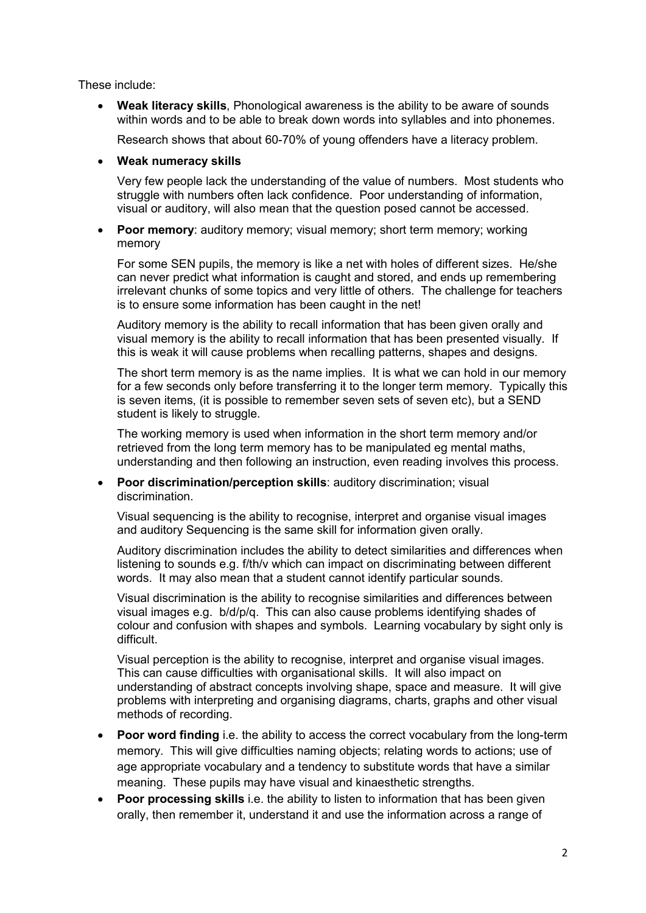These include:

• **Weak literacy skills**, Phonological awareness is the ability to be aware of sounds within words and to be able to break down words into syllables and into phonemes.

Research shows that about 60-70% of young offenders have a literacy problem.

#### • **Weak numeracy skills**

Very few people lack the understanding of the value of numbers. Most students who struggle with numbers often lack confidence. Poor understanding of information, visual or auditory, will also mean that the question posed cannot be accessed.

• **Poor memory**: auditory memory; visual memory; short term memory; working memory

For some SEN pupils, the memory is like a net with holes of different sizes. He/she can never predict what information is caught and stored, and ends up remembering irrelevant chunks of some topics and very little of others. The challenge for teachers is to ensure some information has been caught in the net!

Auditory memory is the ability to recall information that has been given orally and visual memory is the ability to recall information that has been presented visually. If this is weak it will cause problems when recalling patterns, shapes and designs.

The short term memory is as the name implies. It is what we can hold in our memory for a few seconds only before transferring it to the longer term memory. Typically this is seven items, (it is possible to remember seven sets of seven etc), but a SEND student is likely to struggle.

The working memory is used when information in the short term memory and/or retrieved from the long term memory has to be manipulated eg mental maths, understanding and then following an instruction, even reading involves this process.

• **Poor discrimination/perception skills**: auditory discrimination; visual discrimination.

Visual sequencing is the ability to recognise, interpret and organise visual images and auditory Sequencing is the same skill for information given orally.

Auditory discrimination includes the ability to detect similarities and differences when listening to sounds e.g. f/th/v which can impact on discriminating between different words. It may also mean that a student cannot identify particular sounds.

Visual discrimination is the ability to recognise similarities and differences between visual images e.g. b/d/p/q. This can also cause problems identifying shades of colour and confusion with shapes and symbols. Learning vocabulary by sight only is difficult.

Visual perception is the ability to recognise, interpret and organise visual images. This can cause difficulties with organisational skills. It will also impact on understanding of abstract concepts involving shape, space and measure. It will give problems with interpreting and organising diagrams, charts, graphs and other visual methods of recording.

- **Poor word finding** i.e. the ability to access the correct vocabulary from the long-term memory. This will give difficulties naming objects; relating words to actions; use of age appropriate vocabulary and a tendency to substitute words that have a similar meaning. These pupils may have visual and kinaesthetic strengths.
- **Poor processing skills** i.e. the ability to listen to information that has been given orally, then remember it, understand it and use the information across a range of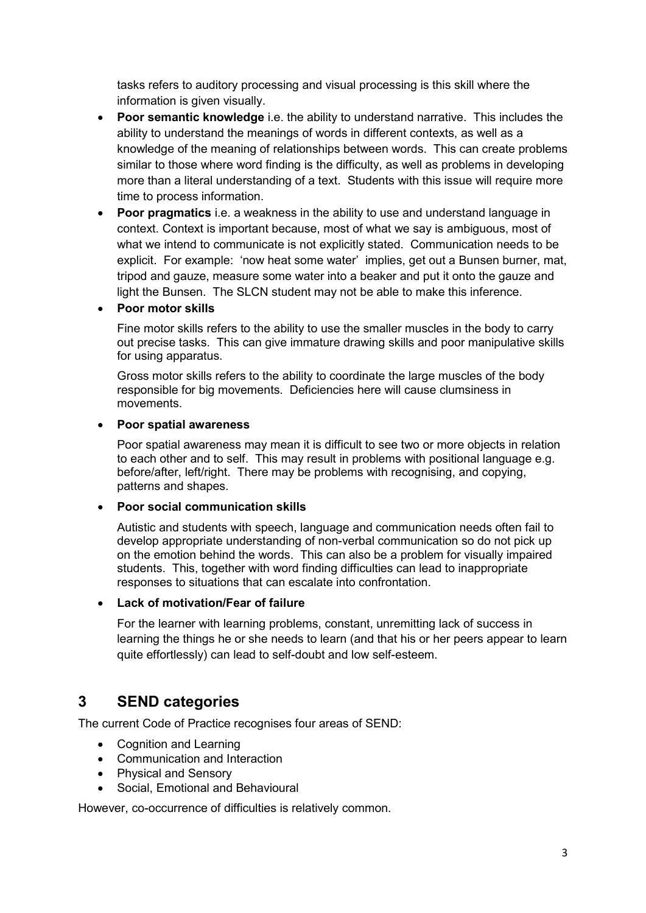tasks refers to auditory processing and visual processing is this skill where the information is given visually.

- **Poor semantic knowledge** i.e. the ability to understand narrative. This includes the ability to understand the meanings of words in different contexts, as well as a knowledge of the meaning of relationships between words. This can create problems similar to those where word finding is the difficulty, as well as problems in developing more than a literal understanding of a text. Students with this issue will require more time to process information.
- **Poor pragmatics** i.e. a weakness in the ability to use and understand language in context. Context is important because, most of what we say is ambiguous, most of what we intend to communicate is not explicitly stated. Communication needs to be explicit. For example: 'now heat some water' implies, get out a Bunsen burner, mat, tripod and gauze, measure some water into a beaker and put it onto the gauze and light the Bunsen. The SLCN student may not be able to make this inference.

#### • **Poor motor skills**

Fine motor skills refers to the ability to use the smaller muscles in the body to carry out precise tasks. This can give immature drawing skills and poor manipulative skills for using apparatus.

Gross motor skills refers to the ability to coordinate the large muscles of the body responsible for big movements. Deficiencies here will cause clumsiness in movements.

#### • **Poor spatial awareness**

Poor spatial awareness may mean it is difficult to see two or more objects in relation to each other and to self. This may result in problems with positional language e.g. before/after, left/right. There may be problems with recognising, and copying, patterns and shapes.

#### • **Poor social communication skills**

Autistic and students with speech, language and communication needs often fail to develop appropriate understanding of non-verbal communication so do not pick up on the emotion behind the words. This can also be a problem for visually impaired students. This, together with word finding difficulties can lead to inappropriate responses to situations that can escalate into confrontation.

#### • **Lack of motivation/Fear of failure**

For the learner with learning problems, constant, unremitting lack of success in learning the things he or she needs to learn (and that his or her peers appear to learn quite effortlessly) can lead to self-doubt and low self-esteem.

## **3 SEND categories**

The current Code of Practice recognises four areas of SEND:

- Cognition and Learning
- Communication and Interaction
- Physical and Sensory
- Social, Emotional and Behavioural

However, co-occurrence of difficulties is relatively common.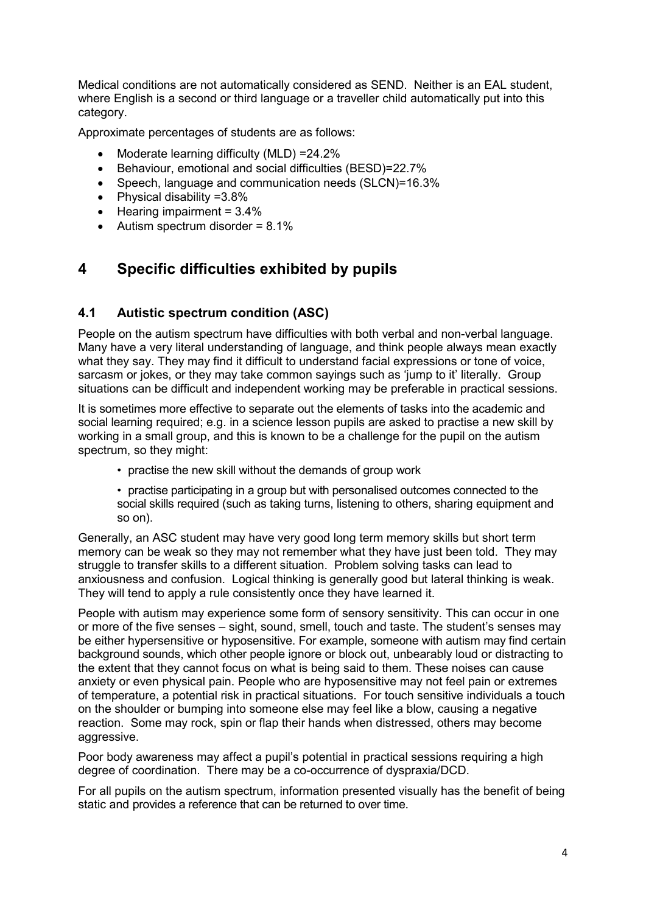Medical conditions are not automatically considered as SEND. Neither is an EAL student, where English is a second or third language or a traveller child automatically put into this category.

Approximate percentages of students are as follows:

- Moderate learning difficulty (MLD) =24.2%
- Behaviour, emotional and social difficulties (BESD)=22.7%
- Speech, language and communication needs (SLCN)=16.3%
- Physical disability =3.8%
- Hearing impairment = 3.4%
- Autism spectrum disorder =  $8.1\%$

## **4 Specific difficulties exhibited by pupils**

## **4.1 Autistic spectrum condition (ASC)**

People on the autism spectrum have difficulties with both verbal and non-verbal language. Many have a very literal understanding of language, and think people always mean exactly what they say. They may find it difficult to understand facial expressions or tone of voice, sarcasm or jokes, or they may take common sayings such as 'jump to it' literally. Group situations can be difficult and independent working may be preferable in practical sessions.

It is sometimes more effective to separate out the elements of tasks into the academic and social learning required; e.g. in a science lesson pupils are asked to practise a new skill by working in a small group, and this is known to be a challenge for the pupil on the autism spectrum, so they might:

- practise the new skill without the demands of group work
- practise participating in a group but with personalised outcomes connected to the social skills required (such as taking turns, listening to others, sharing equipment and so on).

Generally, an ASC student may have very good long term memory skills but short term memory can be weak so they may not remember what they have just been told. They may struggle to transfer skills to a different situation. Problem solving tasks can lead to anxiousness and confusion. Logical thinking is generally good but lateral thinking is weak. They will tend to apply a rule consistently once they have learned it.

People with autism may experience some form of sensory sensitivity. This can occur in one or more of the five senses – sight, sound, smell, touch and taste. The student's senses may be either hypersensitive or hyposensitive. For example, someone with autism may find certain background sounds, which other people ignore or block out, unbearably loud or distracting to the extent that they cannot focus on what is being said to them. These noises can cause anxiety or even physical pain. People who are hyposensitive may not feel pain or extremes of temperature, a potential risk in practical situations. For touch sensitive individuals a touch on the shoulder or bumping into someone else may feel like a blow, causing a negative reaction. Some may rock, spin or flap their hands when distressed, others may become aggressive.

Poor body awareness may affect a pupil's potential in practical sessions requiring a high degree of coordination. There may be a co-occurrence of dyspraxia/DCD.

For all pupils on the autism spectrum, information presented visually has the benefit of being static and provides a reference that can be returned to over time.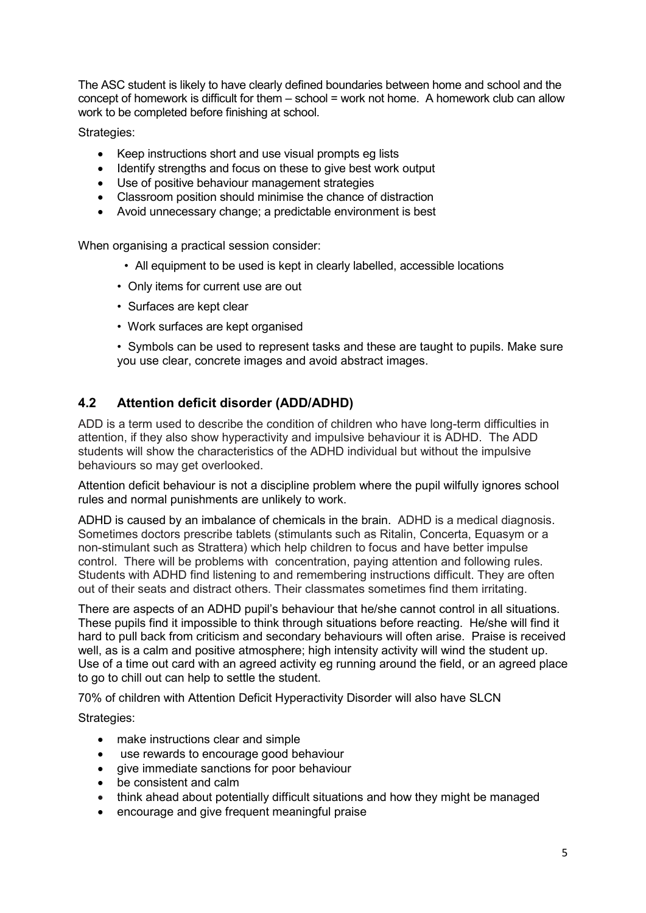The ASC student is likely to have clearly defined boundaries between home and school and the concept of homework is difficult for them – school = work not home. A homework club can allow work to be completed before finishing at school.

Strategies:

- Keep instructions short and use visual prompts eg lists
- Identify strengths and focus on these to give best work output
- Use of positive behaviour management strategies
- Classroom position should minimise the chance of distraction
- Avoid unnecessary change; a predictable environment is best

When organising a practical session consider:

- All equipment to be used is kept in clearly labelled, accessible locations
- Only items for current use are out
- Surfaces are kept clear
- Work surfaces are kept organised

• Symbols can be used to represent tasks and these are taught to pupils. Make sure you use clear, concrete images and avoid abstract images.

## **4.2 Attention deficit disorder (ADD/ADHD)**

ADD is a term used to describe the condition of children who have long-term difficulties in attention, if they also show hyperactivity and impulsive behaviour it is ADHD. The ADD students will show the characteristics of the ADHD individual but without the impulsive behaviours so may get overlooked.

Attention deficit behaviour is not a discipline problem where the pupil wilfully ignores school rules and normal punishments are unlikely to work.

ADHD is caused by an imbalance of chemicals in the brain. ADHD is a medical diagnosis. Sometimes doctors prescribe tablets (stimulants such as Ritalin, Concerta, Equasym or a non-stimulant such as Strattera) which help children to focus and have better impulse control. There will be problems with concentration, paying attention and following rules. Students with ADHD find listening to and remembering instructions difficult. They are often out of their seats and distract others. Their classmates sometimes find them irritating.

There are aspects of an ADHD pupil's behaviour that he/she cannot control in all situations. These pupils find it impossible to think through situations before reacting. He/she will find it hard to pull back from criticism and secondary behaviours will often arise. Praise is received well, as is a calm and positive atmosphere; high intensity activity will wind the student up. Use of a time out card with an agreed activity eg running around the field, or an agreed place to go to chill out can help to settle the student.

70% of children with Attention Deficit Hyperactivity Disorder will also have SLCN

Strategies:

- make instructions clear and simple
- use rewards to encourage good behaviour
- give immediate sanctions for poor behaviour
- be consistent and calm
- think ahead about potentially difficult situations and how they might be managed
- encourage and give frequent meaningful praise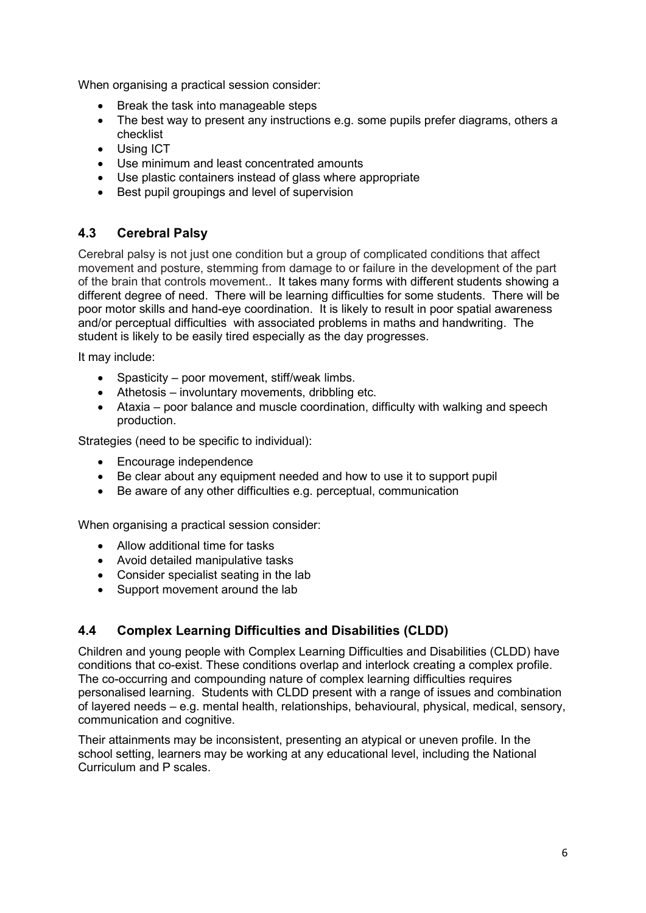When organising a practical session consider:

- Break the task into manageable steps
- The best way to present any instructions e.g. some pupils prefer diagrams, others a checklist
- Using ICT
- Use minimum and least concentrated amounts
- Use plastic containers instead of glass where appropriate
- Best pupil groupings and level of supervision

## **4.3 Cerebral Palsy**

Cerebral palsy is not just one condition but a group of complicated conditions that affect movement and posture, stemming from damage to or failure in the development of the part of the brain that controls movement.. It takes many forms with different students showing a different degree of need. There will be learning difficulties for some students. There will be poor motor skills and hand-eye coordination. It is likely to result in poor spatial awareness and/or perceptual difficulties with associated problems in maths and handwriting. The student is likely to be easily tired especially as the day progresses.

It may include:

- Spasticity poor movement, stiff/weak limbs.
- Athetosis involuntary movements, dribbling etc.
- Ataxia poor balance and muscle coordination, difficulty with walking and speech production.

Strategies (need to be specific to individual):

- Encourage independence
- Be clear about any equipment needed and how to use it to support pupil
- Be aware of any other difficulties e.g. perceptual, communication

When organising a practical session consider:

- Allow additional time for tasks
- Avoid detailed manipulative tasks
- Consider specialist seating in the lab
- Support movement around the lab

## **4.4 Complex Learning Difficulties and Disabilities (CLDD)**

Children and young people with Complex Learning Difficulties and Disabilities (CLDD) have conditions that co-exist. These conditions overlap and interlock creating a complex profile. The co-occurring and compounding nature of complex learning difficulties requires personalised learning. Students with CLDD present with a range of issues and combination of layered needs – e.g. mental health, relationships, behavioural, physical, medical, sensory, communication and cognitive.

Their attainments may be inconsistent, presenting an atypical or uneven profile. In the school setting, learners may be working at any educational level, including the National Curriculum and P scales.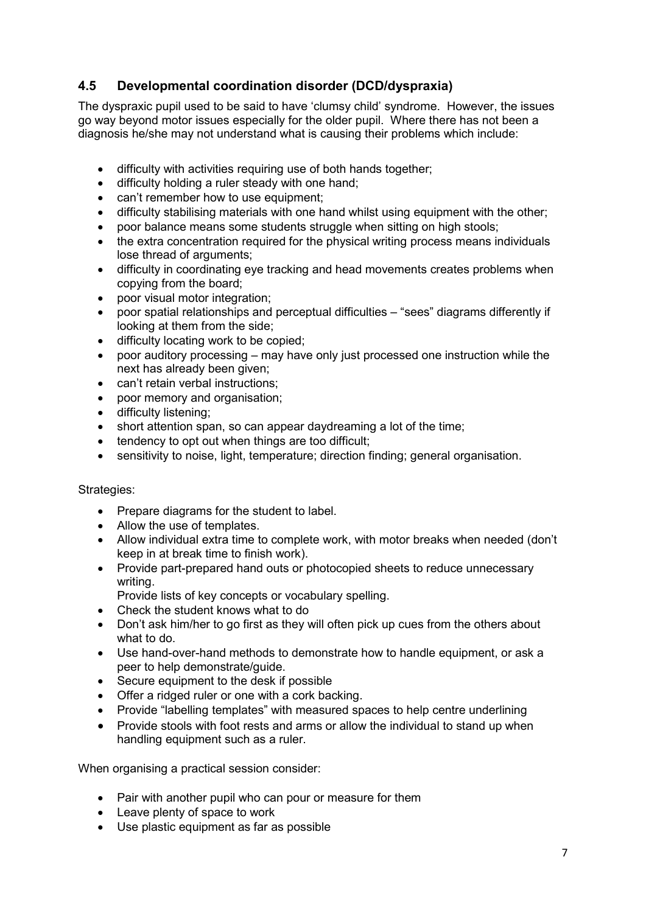## **4.5 Developmental coordination disorder (DCD/dyspraxia)**

The dyspraxic pupil used to be said to have 'clumsy child' syndrome. However, the issues go way beyond motor issues especially for the older pupil. Where there has not been a diagnosis he/she may not understand what is causing their problems which include:

- difficulty with activities requiring use of both hands together;
- difficulty holding a ruler steady with one hand;
- can't remember how to use equipment:
- difficulty stabilising materials with one hand whilst using equipment with the other;
- poor balance means some students struggle when sitting on high stools;
- the extra concentration required for the physical writing process means individuals lose thread of arguments;
- difficulty in coordinating eye tracking and head movements creates problems when copying from the board;
- poor visual motor integration;
- poor spatial relationships and perceptual difficulties "sees" diagrams differently if looking at them from the side;
- difficulty locating work to be copied;
- poor auditory processing may have only just processed one instruction while the next has already been given;
- can't retain verbal instructions:
- poor memory and organisation:
- difficulty listening;
- short attention span, so can appear daydreaming a lot of the time;
- tendency to opt out when things are too difficult;
- sensitivity to noise, light, temperature; direction finding; general organisation.

#### Strategies:

- Prepare diagrams for the student to label.
- Allow the use of templates.
- Allow individual extra time to complete work, with motor breaks when needed (don't keep in at break time to finish work).
- Provide part-prepared hand outs or photocopied sheets to reduce unnecessary writing.
	- Provide lists of key concepts or vocabulary spelling.
- Check the student knows what to do
- Don't ask him/her to go first as they will often pick up cues from the others about what to do.
- Use hand-over-hand methods to demonstrate how to handle equipment, or ask a peer to help demonstrate/guide.
- Secure equipment to the desk if possible
- Offer a ridged ruler or one with a cork backing.
- Provide "labelling templates" with measured spaces to help centre underlining
- Provide stools with foot rests and arms or allow the individual to stand up when handling equipment such as a ruler.

When organising a practical session consider:

- Pair with another pupil who can pour or measure for them
- Leave plenty of space to work
- Use plastic equipment as far as possible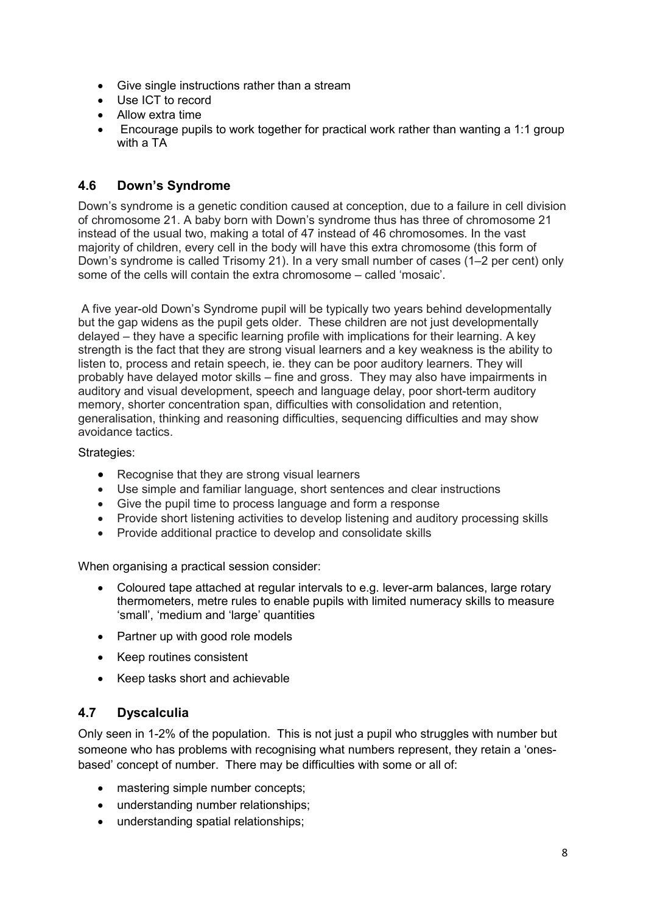- Give single instructions rather than a stream
- Use ICT to record
- Allow extra time
- Encourage pupils to work together for practical work rather than wanting a 1:1 group with a TA

## **4.6 Down's Syndrome**

Down's syndrome is a genetic condition caused at conception, due to a failure in cell division of chromosome 21. A baby born with Down's syndrome thus has three of chromosome 21 instead of the usual two, making a total of 47 instead of 46 chromosomes. In the vast majority of children, every cell in the body will have this extra chromosome (this form of Down's syndrome is called Trisomy 21). In a very small number of cases (1–2 per cent) only some of the cells will contain the extra chromosome – called 'mosaic'.

 A five year-old Down's Syndrome pupil will be typically two years behind developmentally but the gap widens as the pupil gets older. These children are not just developmentally delayed – they have a specific learning profile with implications for their learning. A key strength is the fact that they are strong visual learners and a key weakness is the ability to listen to, process and retain speech, ie. they can be poor auditory learners. They will probably have delayed motor skills – fine and gross. They may also have impairments in auditory and visual development, speech and language delay, poor short-term auditory memory, shorter concentration span, difficulties with consolidation and retention, generalisation, thinking and reasoning difficulties, sequencing difficulties and may show avoidance tactics.

#### Strategies:

- Recognise that they are strong visual learners
- Use simple and familiar language, short sentences and clear instructions
- Give the pupil time to process language and form a response
- Provide short listening activities to develop listening and auditory processing skills
- Provide additional practice to develop and consolidate skills

When organising a practical session consider:

- Coloured tape attached at regular intervals to e.g. lever-arm balances, large rotary thermometers, metre rules to enable pupils with limited numeracy skills to measure 'small', 'medium and 'large' quantities
- Partner up with good role models
- Keep routines consistent
- Keep tasks short and achievable

## **4.7 Dyscalculia**

Only seen in 1-2% of the population. This is not just a pupil who struggles with number but someone who has problems with recognising what numbers represent, they retain a 'onesbased' concept of number. There may be difficulties with some or all of:

- mastering simple number concepts;
- understanding number relationships;
- understanding spatial relationships;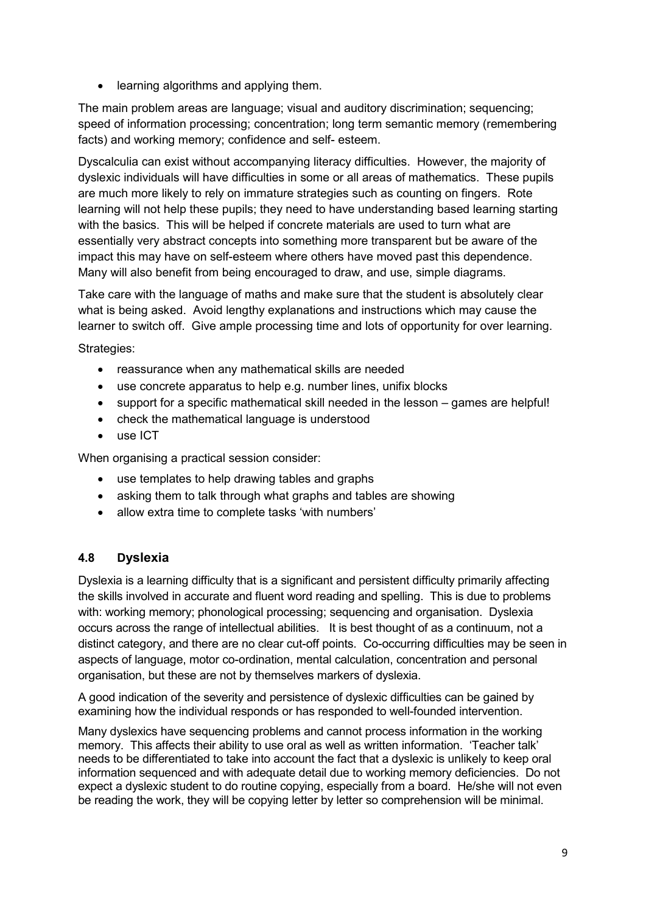• learning algorithms and applying them.

The main problem areas are language; visual and auditory discrimination; sequencing; speed of information processing; concentration; long term semantic memory (remembering facts) and working memory; confidence and self- esteem.

Dyscalculia can exist without accompanying literacy difficulties. However, the majority of dyslexic individuals will have difficulties in some or all areas of mathematics. These pupils are much more likely to rely on immature strategies such as counting on fingers. Rote learning will not help these pupils; they need to have understanding based learning starting with the basics. This will be helped if concrete materials are used to turn what are essentially very abstract concepts into something more transparent but be aware of the impact this may have on self-esteem where others have moved past this dependence. Many will also benefit from being encouraged to draw, and use, simple diagrams.

Take care with the language of maths and make sure that the student is absolutely clear what is being asked. Avoid lengthy explanations and instructions which may cause the learner to switch off. Give ample processing time and lots of opportunity for over learning.

Strategies:

- reassurance when any mathematical skills are needed
- use concrete apparatus to help e.g. number lines, unifix blocks
- support for a specific mathematical skill needed in the lesson games are helpful!
- check the mathematical language is understood
- use ICT

When organising a practical session consider:

- use templates to help drawing tables and graphs
- asking them to talk through what graphs and tables are showing
- allow extra time to complete tasks 'with numbers'

## **4.8 Dyslexia**

Dyslexia is a learning difficulty that is a significant and persistent difficulty primarily affecting the skills involved in accurate and fluent word reading and spelling. This is due to problems with: working memory; phonological processing; sequencing and organisation. Dyslexia occurs across the range of intellectual abilities. It is best thought of as a continuum, not a distinct category, and there are no clear cut-off points. Co-occurring difficulties may be seen in aspects of language, motor co-ordination, mental calculation, concentration and personal organisation, but these are not by themselves markers of dyslexia.

A good indication of the severity and persistence of dyslexic difficulties can be gained by examining how the individual responds or has responded to well-founded intervention.

Many dyslexics have sequencing problems and cannot process information in the working memory. This affects their ability to use oral as well as written information. 'Teacher talk' needs to be differentiated to take into account the fact that a dyslexic is unlikely to keep oral information sequenced and with adequate detail due to working memory deficiencies. Do not expect a dyslexic student to do routine copying, especially from a board. He/she will not even be reading the work, they will be copying letter by letter so comprehension will be minimal.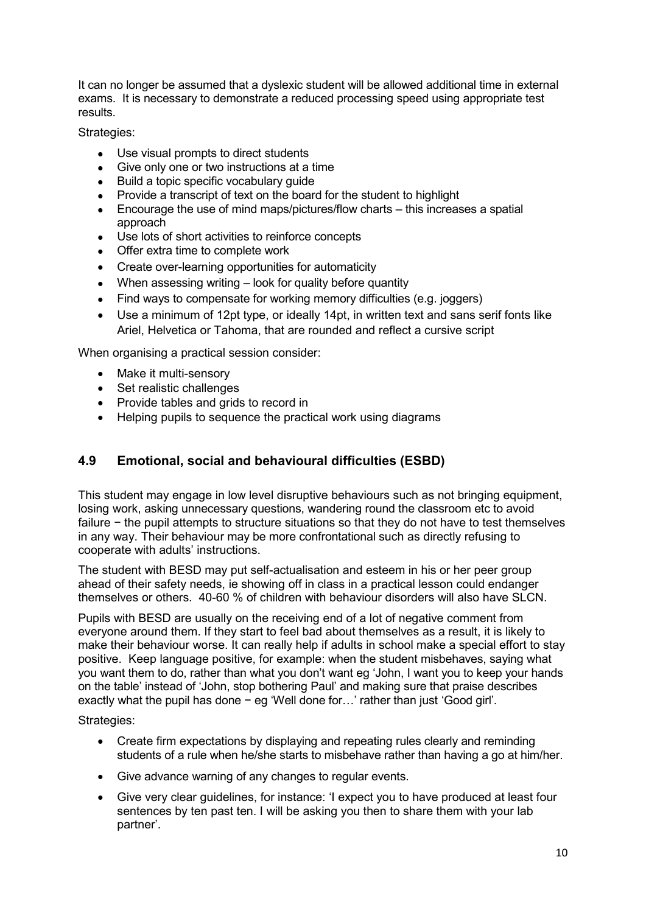It can no longer be assumed that a dyslexic student will be allowed additional time in external exams. It is necessary to demonstrate a reduced processing speed using appropriate test results.

Strategies:

- Use visual prompts to direct students
- Give only one or two instructions at a time
- Build a topic specific vocabulary guide
- Provide a transcript of text on the board for the student to highlight
- Encourage the use of mind maps/pictures/flow charts this increases a spatial approach
- Use lots of short activities to reinforce concepts
- Offer extra time to complete work
- Create over-learning opportunities for automaticity
- When assessing writing look for quality before quantity
- Find ways to compensate for working memory difficulties (e.g. joggers)
- Use a minimum of 12pt type, or ideally 14pt, in written text and sans serif fonts like Ariel, Helvetica or Tahoma, that are rounded and reflect a cursive script

When organising a practical session consider:

- Make it multi-sensory
- Set realistic challenges
- Provide tables and grids to record in
- Helping pupils to sequence the practical work using diagrams

## **4.9 Emotional, social and behavioural difficulties (ESBD)**

This student may engage in low level disruptive behaviours such as not bringing equipment, losing work, asking unnecessary questions, wandering round the classroom etc to avoid failure − the pupil attempts to structure situations so that they do not have to test themselves in any way. Their behaviour may be more confrontational such as directly refusing to cooperate with adults' instructions.

The student with BESD may put self-actualisation and esteem in his or her peer group ahead of their safety needs, ie showing off in class in a practical lesson could endanger themselves or others. 40-60 % of children with behaviour disorders will also have SLCN.

Pupils with BESD are usually on the receiving end of a lot of negative comment from everyone around them. If they start to feel bad about themselves as a result, it is likely to make their behaviour worse. It can really help if adults in school make a special effort to stay positive. Keep language positive, for example: when the student misbehaves, saying what you want them to do, rather than what you don't want eg 'John, I want you to keep your hands on the table' instead of 'John, stop bothering Paul' and making sure that praise describes exactly what the pupil has done − eg 'Well done for…' rather than just 'Good girl'.

Strategies:

- Create firm expectations by displaying and repeating rules clearly and reminding students of a rule when he/she starts to misbehave rather than having a go at him/her.
- Give advance warning of any changes to regular events.
- Give very clear guidelines, for instance: 'I expect you to have produced at least four sentences by ten past ten. I will be asking you then to share them with your lab partner'.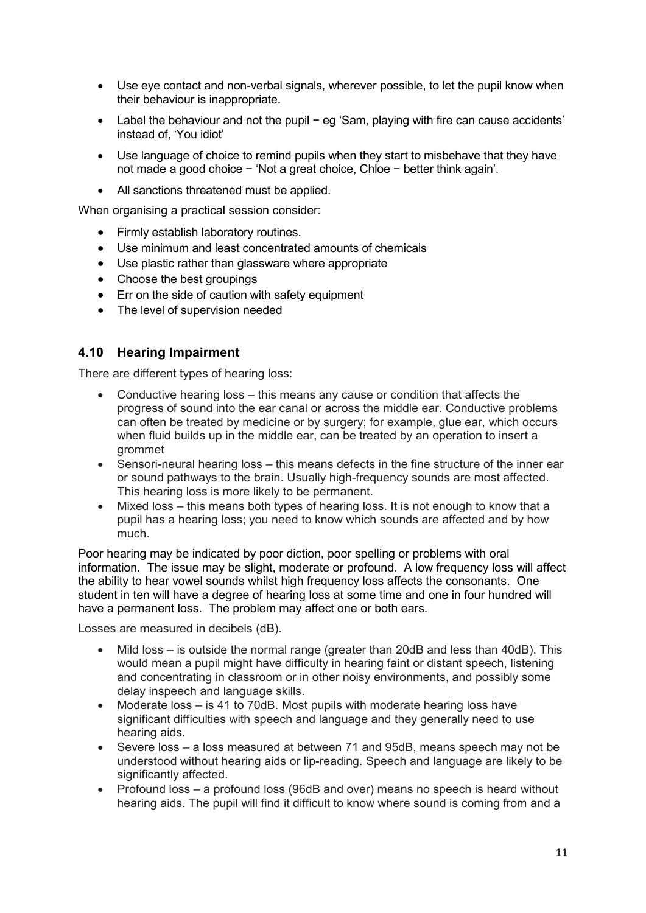- Use eye contact and non-verbal signals, wherever possible, to let the pupil know when their behaviour is inappropriate.
- Label the behaviour and not the pupil − eg 'Sam, playing with fire can cause accidents' instead of, 'You idiot'
- Use language of choice to remind pupils when they start to misbehave that they have not made a good choice − 'Not a great choice, Chloe − better think again'.
- All sanctions threatened must be applied.

When organising a practical session consider:

- Firmly establish laboratory routines.
- Use minimum and least concentrated amounts of chemicals
- Use plastic rather than glassware where appropriate
- Choose the best groupings
- Err on the side of caution with safety equipment
- The level of supervision needed

#### **4.10 Hearing Impairment**

There are different types of hearing loss:

- Conductive hearing loss this means any cause or condition that affects the progress of sound into the ear canal or across the middle ear. Conductive problems can often be treated by medicine or by surgery; for example, glue ear, which occurs when fluid builds up in the middle ear, can be treated by an operation to insert a grommet
- Sensori-neural hearing loss this means defects in the fine structure of the inner ear or sound pathways to the brain. Usually high-frequency sounds are most affected. This hearing loss is more likely to be permanent.
- Mixed loss this means both types of hearing loss. It is not enough to know that a pupil has a hearing loss; you need to know which sounds are affected and by how much.

Poor hearing may be indicated by poor diction, poor spelling or problems with oral information. The issue may be slight, moderate or profound. A low frequency loss will affect the ability to hear vowel sounds whilst high frequency loss affects the consonants. One student in ten will have a degree of hearing loss at some time and one in four hundred will have a permanent loss. The problem may affect one or both ears.

Losses are measured in decibels (dB).

- Mild loss is outside the normal range (greater than 20dB and less than 40dB). This would mean a pupil might have difficulty in hearing faint or distant speech, listening and concentrating in classroom or in other noisy environments, and possibly some delay inspeech and language skills.
- Moderate loss is 41 to 70dB. Most pupils with moderate hearing loss have significant difficulties with speech and language and they generally need to use hearing aids.
- Severe loss a loss measured at between 71 and 95dB, means speech may not be understood without hearing aids or lip-reading. Speech and language are likely to be significantly affected.
- Profound loss a profound loss (96dB and over) means no speech is heard without hearing aids. The pupil will find it difficult to know where sound is coming from and a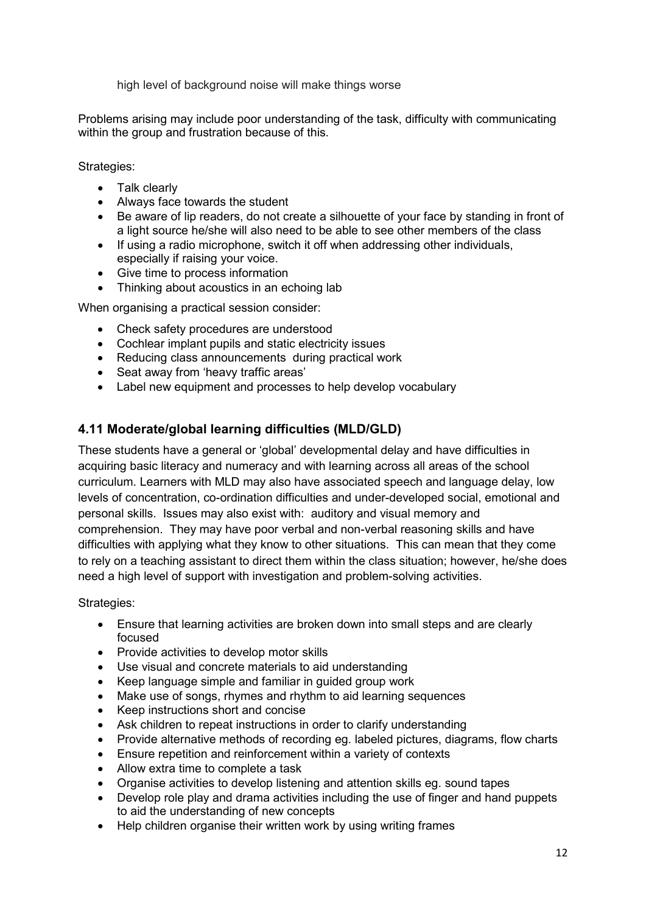high level of background noise will make things worse

Problems arising may include poor understanding of the task, difficulty with communicating within the group and frustration because of this.

Strategies:

- Talk clearly
- Always face towards the student
- Be aware of lip readers, do not create a silhouette of your face by standing in front of a light source he/she will also need to be able to see other members of the class
- If using a radio microphone, switch it off when addressing other individuals, especially if raising your voice.
- Give time to process information
- Thinking about acoustics in an echoing lab

When organising a practical session consider:

- Check safety procedures are understood
- Cochlear implant pupils and static electricity issues
- Reducing class announcements during practical work
- Seat away from 'heavy traffic areas'
- Label new equipment and processes to help develop vocabulary

## **4.11 Moderate/global learning difficulties (MLD/GLD)**

These students have a general or 'global' developmental delay and have difficulties in acquiring basic literacy and numeracy and with learning across all areas of the school curriculum. Learners with MLD may also have associated speech and language delay, low levels of concentration, co-ordination difficulties and under-developed social, emotional and personal skills. Issues may also exist with: auditory and visual memory and comprehension. They may have poor verbal and non-verbal reasoning skills and have difficulties with applying what they know to other situations. This can mean that they come to rely on a teaching assistant to direct them within the class situation; however, he/she does need a high level of support with investigation and problem-solving activities.

#### Strategies:

- Ensure that learning activities are broken down into small steps and are clearly focused
- Provide activities to develop motor skills
- Use visual and concrete materials to aid understanding
- Keep language simple and familiar in guided group work
- Make use of songs, rhymes and rhythm to aid learning sequences
- Keep instructions short and concise
- Ask children to repeat instructions in order to clarify understanding
- Provide alternative methods of recording eg. labeled pictures, diagrams, flow charts
- Ensure repetition and reinforcement within a variety of contexts
- Allow extra time to complete a task
- Organise activities to develop listening and attention skills eg. sound tapes
- Develop role play and drama activities including the use of finger and hand puppets to aid the understanding of new concepts
- Help children organise their written work by using writing frames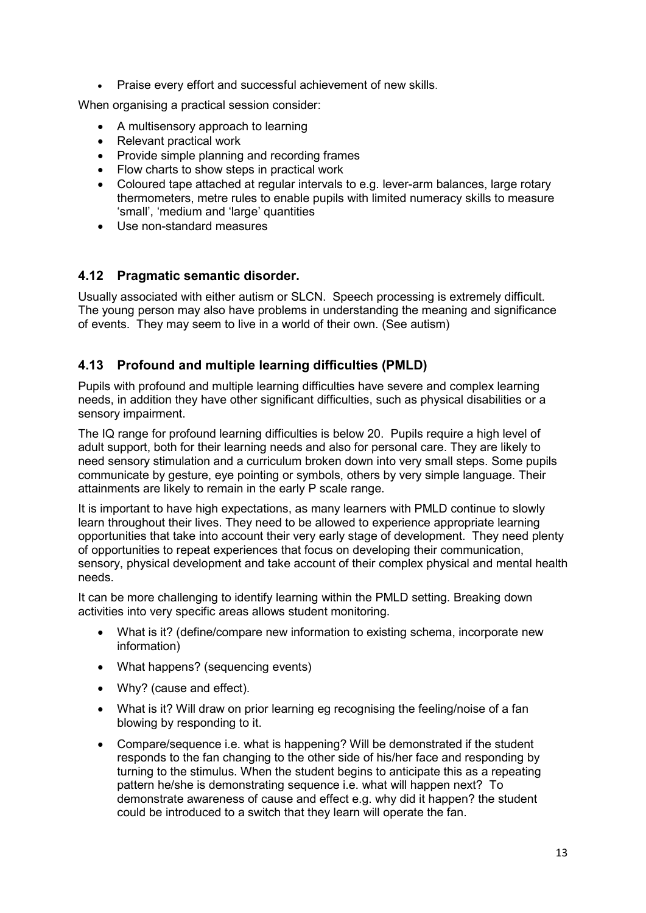• Praise every effort and successful achievement of new skills.

When organising a practical session consider:

- A multisensory approach to learning
- Relevant practical work
- Provide simple planning and recording frames
- Flow charts to show steps in practical work
- Coloured tape attached at regular intervals to e.g. lever-arm balances, large rotary thermometers, metre rules to enable pupils with limited numeracy skills to measure 'small', 'medium and 'large' quantities
- Use non-standard measures

## **4.12 Pragmatic semantic disorder.**

Usually associated with either autism or SLCN. Speech processing is extremely difficult. The young person may also have problems in understanding the meaning and significance of events. They may seem to live in a world of their own. (See autism)

## **4.13 Profound and multiple learning difficulties (PMLD)**

Pupils with profound and multiple learning difficulties have severe and complex learning needs, in addition they have other significant difficulties, such as physical disabilities or a sensory impairment.

The IQ range for profound learning difficulties is below 20. Pupils require a high level of adult support, both for their learning needs and also for personal care. They are likely to need sensory stimulation and a curriculum broken down into very small steps. Some pupils communicate by gesture, eye pointing or symbols, others by very simple language. Their attainments are likely to remain in the early P scale range.

It is important to have high expectations, as many learners with PMLD continue to slowly learn throughout their lives. They need to be allowed to experience appropriate learning opportunities that take into account their very early stage of development. They need plenty of opportunities to repeat experiences that focus on developing their communication, sensory, physical development and take account of their complex physical and mental health needs.

It can be more challenging to identify learning within the PMLD setting. Breaking down activities into very specific areas allows student monitoring.

- What is it? (define/compare new information to existing schema, incorporate new information)
- What happens? (sequencing events)
- Why? (cause and effect).
- What is it? Will draw on prior learning eg recognising the feeling/noise of a fan blowing by responding to it.
- Compare/sequence i.e. what is happening? Will be demonstrated if the student responds to the fan changing to the other side of his/her face and responding by turning to the stimulus. When the student begins to anticipate this as a repeating pattern he/she is demonstrating sequence i.e. what will happen next? To demonstrate awareness of cause and effect e.g. why did it happen? the student could be introduced to a switch that they learn will operate the fan.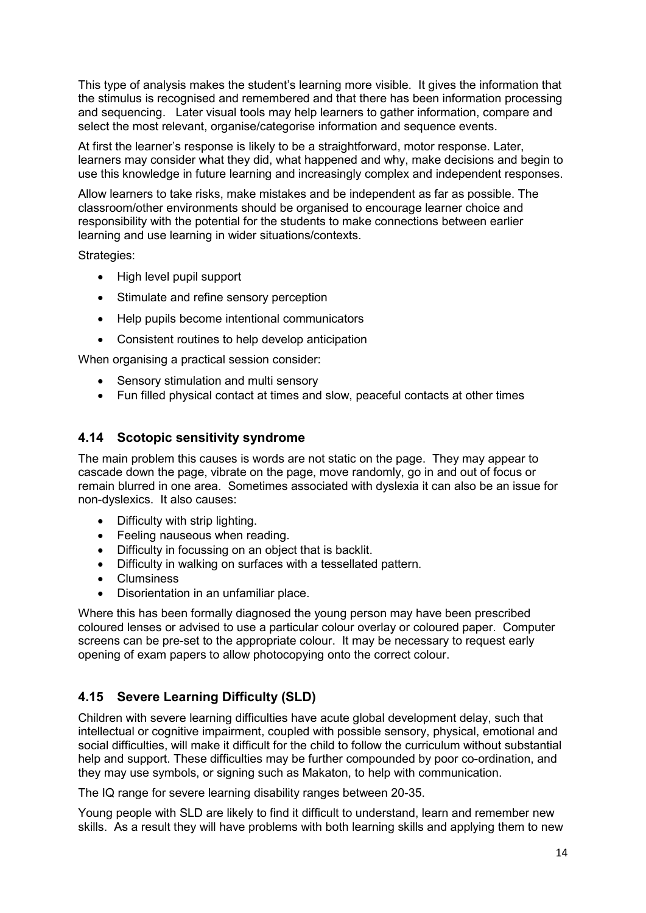This type of analysis makes the student's learning more visible. It gives the information that the stimulus is recognised and remembered and that there has been information processing and sequencing. Later visual tools may help learners to gather information, compare and select the most relevant, organise/categorise information and sequence events.

At first the learner's response is likely to be a straightforward, motor response. Later, learners may consider what they did, what happened and why, make decisions and begin to use this knowledge in future learning and increasingly complex and independent responses.

Allow learners to take risks, make mistakes and be independent as far as possible. The classroom/other environments should be organised to encourage learner choice and responsibility with the potential for the students to make connections between earlier learning and use learning in wider situations/contexts.

Strategies:

- High level pupil support
- Stimulate and refine sensory perception
- Help pupils become intentional communicators
- Consistent routines to help develop anticipation

When organising a practical session consider:

- Sensory stimulation and multi sensory
- Fun filled physical contact at times and slow, peaceful contacts at other times

#### **4.14 Scotopic sensitivity syndrome**

The main problem this causes is words are not static on the page. They may appear to cascade down the page, vibrate on the page, move randomly, go in and out of focus or remain blurred in one area. Sometimes associated with dyslexia it can also be an issue for non-dyslexics. It also causes:

- Difficulty with strip lighting.
- Feeling nauseous when reading.
- Difficulty in focussing on an object that is backlit.
- Difficulty in walking on surfaces with a tessellated pattern.
- Clumsiness
- Disorientation in an unfamiliar place.

Where this has been formally diagnosed the young person may have been prescribed coloured lenses or advised to use a particular colour overlay or coloured paper. Computer screens can be pre-set to the appropriate colour. It may be necessary to request early opening of exam papers to allow photocopying onto the correct colour.

## **4.15 Severe Learning Difficulty (SLD)**

Children with severe learning difficulties have acute global development delay, such that intellectual or cognitive impairment, coupled with possible sensory, physical, emotional and social difficulties, will make it difficult for the child to follow the curriculum without substantial help and support. These difficulties may be further compounded by poor co-ordination, and they may use symbols, or signing such as Makaton, to help with communication.

The IQ range for severe learning disability ranges between 20-35.

Young people with SLD are likely to find it difficult to understand, learn and remember new skills. As a result they will have problems with both learning skills and applying them to new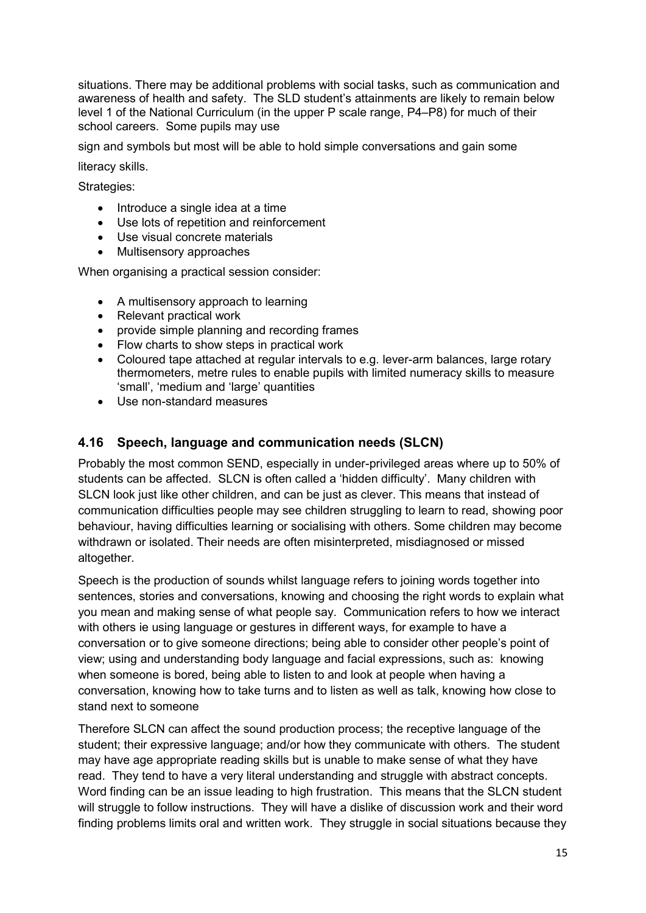situations. There may be additional problems with social tasks, such as communication and awareness of health and safety. The SLD student's attainments are likely to remain below level 1 of the National Curriculum (in the upper P scale range, P4–P8) for much of their school careers. Some pupils may use

sign and symbols but most will be able to hold simple conversations and gain some

literacy skills.

Strategies:

- Introduce a single idea at a time
- Use lots of repetition and reinforcement
- Use visual concrete materials
- Multisensory approaches

When organising a practical session consider:

- A multisensory approach to learning
- Relevant practical work
- provide simple planning and recording frames
- Flow charts to show steps in practical work
- Coloured tape attached at regular intervals to e.g. lever-arm balances, large rotary thermometers, metre rules to enable pupils with limited numeracy skills to measure 'small', 'medium and 'large' quantities
- Use non-standard measures

## **4.16 Speech, language and communication needs (SLCN)**

Probably the most common SEND, especially in under-privileged areas where up to 50% of students can be affected. SLCN is often called a 'hidden difficulty'. Many children with SLCN look just like other children, and can be just as clever. This means that instead of communication difficulties people may see children struggling to learn to read, showing poor behaviour, having difficulties learning or socialising with others. Some children may become withdrawn or isolated. Their needs are often misinterpreted, misdiagnosed or missed altogether.

Speech is the production of sounds whilst language refers to joining words together into sentences, stories and conversations, knowing and choosing the right words to explain what you mean and making sense of what people say. Communication refers to how we interact with others ie using language or gestures in different ways, for example to have a conversation or to give someone directions; being able to consider other people's point of view; using and understanding body language and facial expressions, such as: knowing when someone is bored, being able to listen to and look at people when having a conversation, knowing how to take turns and to listen as well as talk, knowing how close to stand next to someone

Therefore SLCN can affect the sound production process; the receptive language of the student; their expressive language; and/or how they communicate with others. The student may have age appropriate reading skills but is unable to make sense of what they have read. They tend to have a very literal understanding and struggle with abstract concepts. Word finding can be an issue leading to high frustration. This means that the SLCN student will struggle to follow instructions. They will have a dislike of discussion work and their word finding problems limits oral and written work. They struggle in social situations because they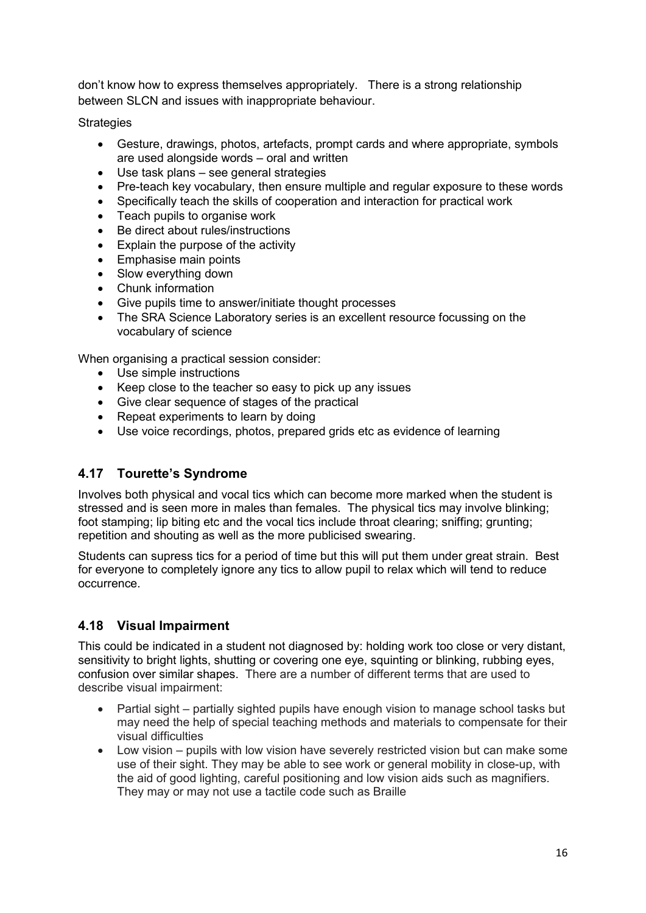don't know how to express themselves appropriately. There is a strong relationship between SLCN and issues with inappropriate behaviour.

**Strategies** 

- Gesture, drawings, photos, artefacts, prompt cards and where appropriate, symbols are used alongside words – oral and written
- Use task plans see general strategies
- Pre-teach key vocabulary, then ensure multiple and regular exposure to these words
- Specifically teach the skills of cooperation and interaction for practical work
- Teach pupils to organise work
- Be direct about rules/instructions
- Explain the purpose of the activity
- Emphasise main points
- Slow everything down
- Chunk information
- Give pupils time to answer/initiate thought processes
- The SRA Science Laboratory series is an excellent resource focussing on the vocabulary of science

When organising a practical session consider:

- Use simple instructions
- Keep close to the teacher so easy to pick up any issues
- Give clear sequence of stages of the practical
- Repeat experiments to learn by doing
- Use voice recordings, photos, prepared grids etc as evidence of learning

## **4.17 Tourette's Syndrome**

Involves both physical and vocal tics which can become more marked when the student is stressed and is seen more in males than females. The physical tics may involve blinking; foot stamping; lip biting etc and the vocal tics include throat clearing; sniffing; grunting; repetition and shouting as well as the more publicised swearing.

Students can supress tics for a period of time but this will put them under great strain. Best for everyone to completely ignore any tics to allow pupil to relax which will tend to reduce occurrence.

## **4.18 Visual Impairment**

This could be indicated in a student not diagnosed by: holding work too close or very distant, sensitivity to bright lights, shutting or covering one eye, squinting or blinking, rubbing eyes, confusion over similar shapes. There are a number of different terms that are used to describe visual impairment:

- Partial sight partially sighted pupils have enough vision to manage school tasks but may need the help of special teaching methods and materials to compensate for their visual difficulties
- Low vision pupils with low vision have severely restricted vision but can make some use of their sight. They may be able to see work or general mobility in close-up, with the aid of good lighting, careful positioning and low vision aids such as magnifiers. They may or may not use a tactile code such as Braille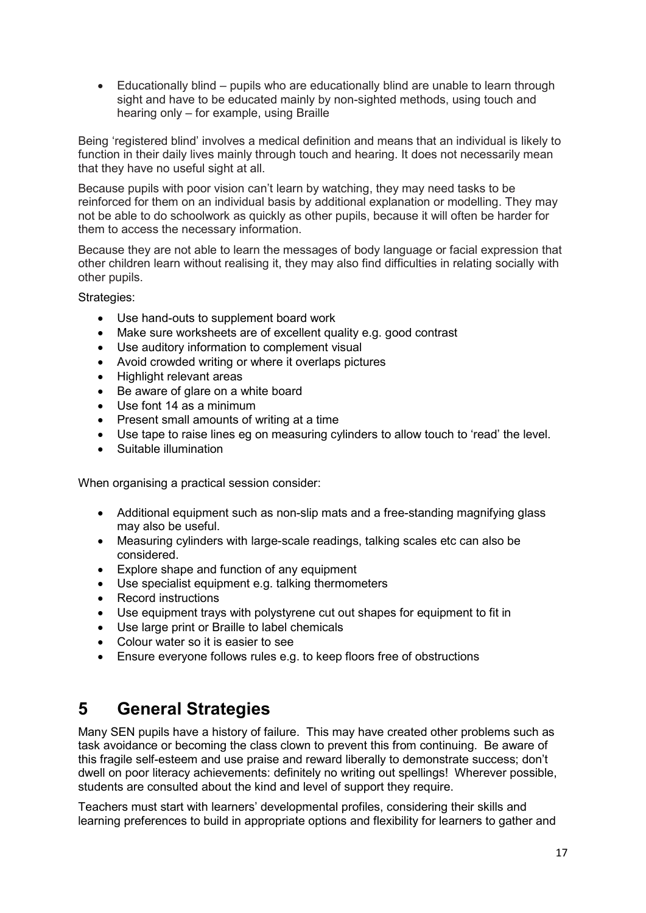• Educationally blind – pupils who are educationally blind are unable to learn through sight and have to be educated mainly by non-sighted methods, using touch and hearing only – for example, using Braille

Being 'registered blind' involves a medical definition and means that an individual is likely to function in their daily lives mainly through touch and hearing. It does not necessarily mean that they have no useful sight at all.

Because pupils with poor vision can't learn by watching, they may need tasks to be reinforced for them on an individual basis by additional explanation or modelling. They may not be able to do schoolwork as quickly as other pupils, because it will often be harder for them to access the necessary information.

Because they are not able to learn the messages of body language or facial expression that other children learn without realising it, they may also find difficulties in relating socially with other pupils.

Strategies:

- Use hand-outs to supplement board work
- Make sure worksheets are of excellent quality e.g. good contrast
- Use auditory information to complement visual
- Avoid crowded writing or where it overlaps pictures
- Highlight relevant areas
- Be aware of glare on a white board
- Use font 14 as a minimum
- Present small amounts of writing at a time
- Use tape to raise lines eg on measuring cylinders to allow touch to 'read' the level.
- Suitable illumination

When organising a practical session consider:

- Additional equipment such as non-slip mats and a free-standing magnifying glass may also be useful.
- Measuring cylinders with large-scale readings, talking scales etc can also be considered.
- Explore shape and function of any equipment
- Use specialist equipment e.g. talking thermometers
- Record instructions
- Use equipment trays with polystyrene cut out shapes for equipment to fit in
- Use large print or Braille to label chemicals
- Colour water so it is easier to see
- Ensure everyone follows rules e.g. to keep floors free of obstructions

## **5 General Strategies**

Many SEN pupils have a history of failure. This may have created other problems such as task avoidance or becoming the class clown to prevent this from continuing. Be aware of this fragile self-esteem and use praise and reward liberally to demonstrate success; don't dwell on poor literacy achievements: definitely no writing out spellings! Wherever possible, students are consulted about the kind and level of support they require.

Teachers must start with learners' developmental profiles, considering their skills and learning preferences to build in appropriate options and flexibility for learners to gather and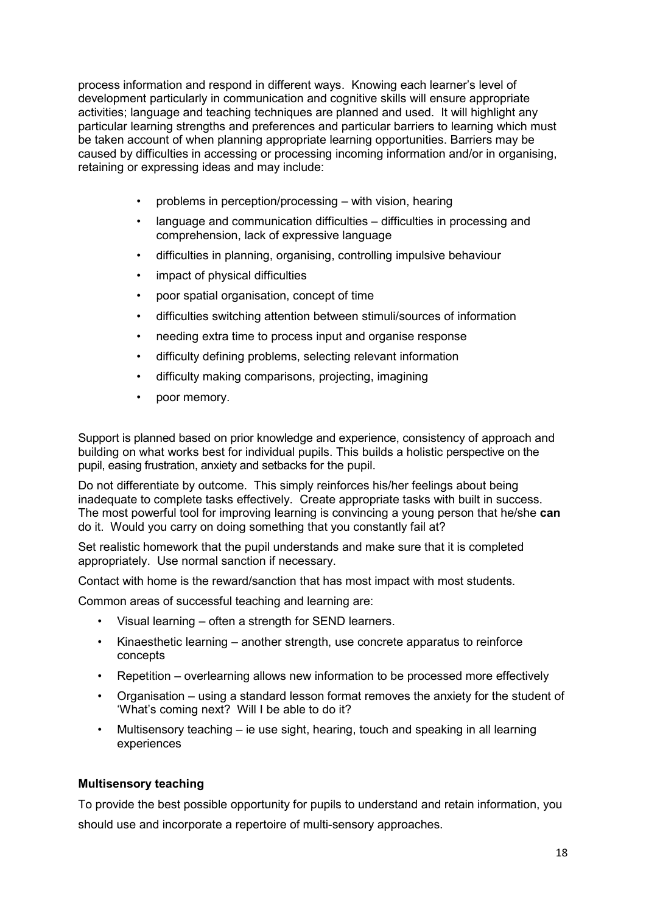process information and respond in different ways. Knowing each learner's level of development particularly in communication and cognitive skills will ensure appropriate activities; language and teaching techniques are planned and used. It will highlight any particular learning strengths and preferences and particular barriers to learning which must be taken account of when planning appropriate learning opportunities. Barriers may be caused by difficulties in accessing or processing incoming information and/or in organising, retaining or expressing ideas and may include:

- problems in perception/processing with vision, hearing
- language and communication difficulties difficulties in processing and comprehension, lack of expressive language
- difficulties in planning, organising, controlling impulsive behaviour
- impact of physical difficulties
- poor spatial organisation, concept of time
- difficulties switching attention between stimuli/sources of information
- needing extra time to process input and organise response
- difficulty defining problems, selecting relevant information
- difficulty making comparisons, projecting, imagining
- poor memory.

Support is planned based on prior knowledge and experience, consistency of approach and building on what works best for individual pupils. This builds a holistic perspective on the pupil, easing frustration, anxiety and setbacks for the pupil.

Do not differentiate by outcome. This simply reinforces his/her feelings about being inadequate to complete tasks effectively. Create appropriate tasks with built in success. The most powerful tool for improving learning is convincing a young person that he/she **can**  do it. Would you carry on doing something that you constantly fail at?

Set realistic homework that the pupil understands and make sure that it is completed appropriately. Use normal sanction if necessary.

Contact with home is the reward/sanction that has most impact with most students.

Common areas of successful teaching and learning are:

- Visual learning often a strength for SEND learners.
- Kinaesthetic learning another strength, use concrete apparatus to reinforce concepts
- Repetition overlearning allows new information to be processed more effectively
- Organisation using a standard lesson format removes the anxiety for the student of 'What's coming next? Will I be able to do it?
- Multisensory teaching ie use sight, hearing, touch and speaking in all learning experiences

#### **Multisensory teaching**

To provide the best possible opportunity for pupils to understand and retain information, you should use and incorporate a repertoire of multi-sensory approaches.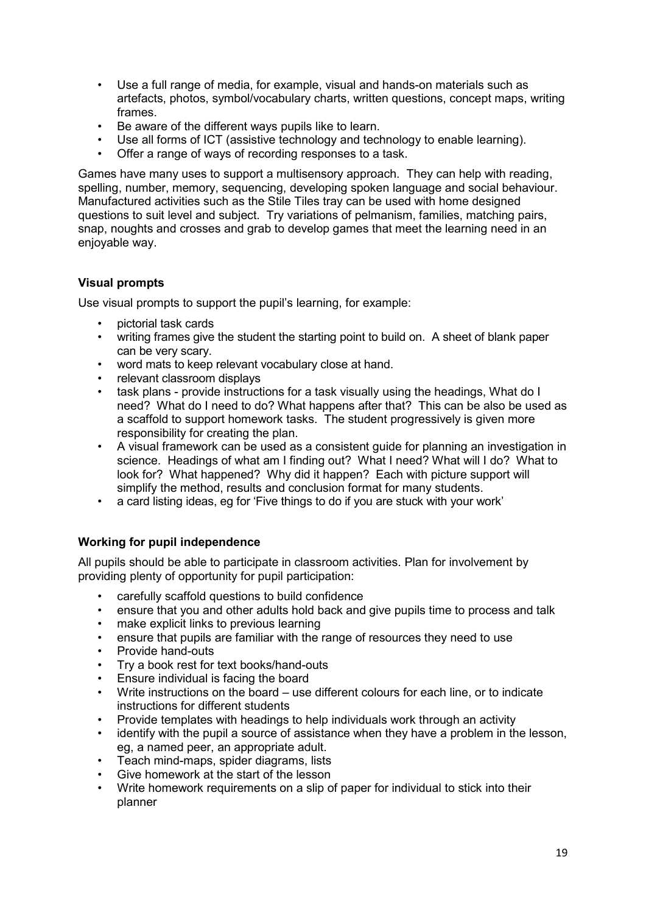- Use a full range of media, for example, visual and hands-on materials such as artefacts, photos, symbol/vocabulary charts, written questions, concept maps, writing frames.
- Be aware of the different ways pupils like to learn.
- Use all forms of ICT (assistive technology and technology to enable learning).
- Offer a range of ways of recording responses to a task.

Games have many uses to support a multisensory approach. They can help with reading, spelling, number, memory, sequencing, developing spoken language and social behaviour. Manufactured activities such as the Stile Tiles tray can be used with home designed questions to suit level and subject. Try variations of pelmanism, families, matching pairs, snap, noughts and crosses and grab to develop games that meet the learning need in an enjoyable way.

#### **Visual prompts**

Use visual prompts to support the pupil's learning, for example:

- pictorial task cards
- writing frames give the student the starting point to build on. A sheet of blank paper can be very scary.
- word mats to keep relevant vocabulary close at hand.
- relevant classroom displays
- task plans provide instructions for a task visually using the headings, What do I need? What do I need to do? What happens after that? This can be also be used as a scaffold to support homework tasks. The student progressively is given more responsibility for creating the plan.
- A visual framework can be used as a consistent guide for planning an investigation in science. Headings of what am I finding out? What I need? What will I do? What to look for? What happened? Why did it happen? Each with picture support will simplify the method, results and conclusion format for many students.
- a card listing ideas, eg for 'Five things to do if you are stuck with your work'

## **Working for pupil independence**

All pupils should be able to participate in classroom activities. Plan for involvement by providing plenty of opportunity for pupil participation:

- carefully scaffold questions to build confidence
- ensure that you and other adults hold back and give pupils time to process and talk
- make explicit links to previous learning
- ensure that pupils are familiar with the range of resources they need to use
- Provide hand-outs
- Try a book rest for text books/hand-outs
- Ensure individual is facing the board
- Write instructions on the board use different colours for each line, or to indicate instructions for different students
- Provide templates with headings to help individuals work through an activity
- identify with the pupil a source of assistance when they have a problem in the lesson, eg, a named peer, an appropriate adult.
- Teach mind-maps, spider diagrams, lists
- Give homework at the start of the lesson
- Write homework requirements on a slip of paper for individual to stick into their planner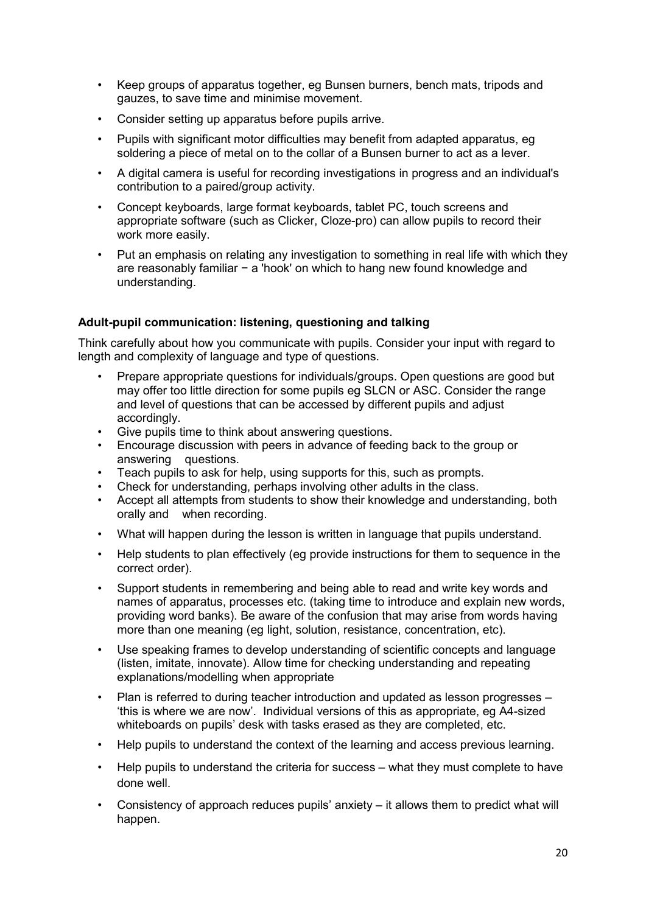- Keep groups of apparatus together, eg Bunsen burners, bench mats, tripods and gauzes, to save time and minimise movement.
- Consider setting up apparatus before pupils arrive.
- Pupils with significant motor difficulties may benefit from adapted apparatus, eg soldering a piece of metal on to the collar of a Bunsen burner to act as a lever.
- A digital camera is useful for recording investigations in progress and an individual's contribution to a paired/group activity.
- Concept keyboards, large format keyboards, tablet PC, touch screens and appropriate software (such as Clicker, Cloze-pro) can allow pupils to record their work more easily.
- Put an emphasis on relating any investigation to something in real life with which they are reasonably familiar − a 'hook' on which to hang new found knowledge and understanding.

#### **Adult-pupil communication: listening, questioning and talking**

Think carefully about how you communicate with pupils. Consider your input with regard to length and complexity of language and type of questions.

- Prepare appropriate questions for individuals/groups. Open questions are good but may offer too little direction for some pupils eg SLCN or ASC. Consider the range and level of questions that can be accessed by different pupils and adjust accordingly.
- Give pupils time to think about answering questions.
- Encourage discussion with peers in advance of feeding back to the group or answering questions.
- Teach pupils to ask for help, using supports for this, such as prompts.
- Check for understanding, perhaps involving other adults in the class.
- Accept all attempts from students to show their knowledge and understanding, both orally and when recording.
- What will happen during the lesson is written in language that pupils understand.
- Help students to plan effectively (eg provide instructions for them to sequence in the correct order).
- Support students in remembering and being able to read and write key words and names of apparatus, processes etc. (taking time to introduce and explain new words, providing word banks). Be aware of the confusion that may arise from words having more than one meaning (eg light, solution, resistance, concentration, etc).
- Use speaking frames to develop understanding of scientific concepts and language (listen, imitate, innovate). Allow time for checking understanding and repeating explanations/modelling when appropriate
- Plan is referred to during teacher introduction and updated as lesson progresses 'this is where we are now'. Individual versions of this as appropriate, eg A4-sized whiteboards on pupils' desk with tasks erased as they are completed, etc.
- Help pupils to understand the context of the learning and access previous learning.
- Help pupils to understand the criteria for success what they must complete to have done well.
- Consistency of approach reduces pupils' anxiety  $-$  it allows them to predict what will happen.